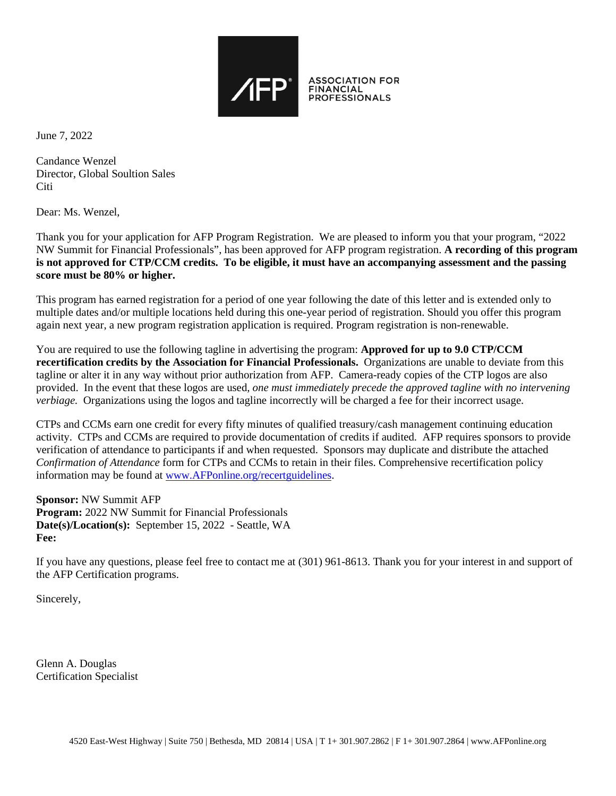

June 7, 2022

Candance Wenzel Director, Global Soultion Sales **Citi** 

Dear: Ms. Wenzel,

Thank you for your application for AFP Program Registration. We are pleased to inform you that your program, "2022 NW Summit for Financial Professionals", has been approved for AFP program registration. **A recording of this program is not approved for CTP/CCM credits. To be eligible, it must have an accompanying assessment and the passing score must be 80% or higher.**

This program has earned registration for a period of one year following the date of this letter and is extended only to multiple dates and/or multiple locations held during this one-year period of registration. Should you offer this program again next year, a new program registration application is required. Program registration is non-renewable.

You are required to use the following tagline in advertising the program: **Approved for up to 9.0 CTP/CCM recertification credits by the Association for Financial Professionals.** Organizations are unable to deviate from this tagline or alter it in any way without prior authorization from AFP. Camera-ready copies of the CTP logos are also provided. In the event that these logos are used*, one must immediately precede the approved tagline with no intervening verbiage.* Organizations using the logos and tagline incorrectly will be charged a fee for their incorrect usage.

CTPs and CCMs earn one credit for every fifty minutes of qualified treasury/cash management continuing education activity. CTPs and CCMs are required to provide documentation of credits if audited. AFP requires sponsors to provide verification of attendance to participants if and when requested. Sponsors may duplicate and distribute the attached *Confirmation of Attendance* form for CTPs and CCMs to retain in their files. Comprehensive recertification policy information may be found at [www.AFPonline.org/recertguidelines.](http://www.afponline.org/recertguidelines)

**Sponsor:** NW Summit AFP **Program:** 2022 NW Summit for Financial Professionals **Date(s)/Location(s):** September 15, 2022 - Seattle, WA **Fee:**

If you have any questions, please feel free to contact me at (301) 961-8613. Thank you for your interest in and support of the AFP Certification programs.

Sincerely,

Glenn A. Douglas Certification Specialist